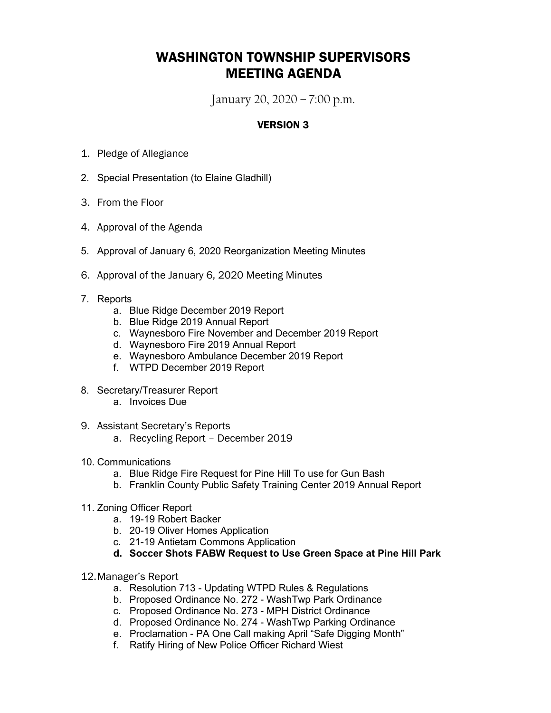## WASHINGTON TOWNSHIP SUPERVISORS MEETING AGENDA

January 20, 2020 – 7:00 p.m.

## VERSION 3

- 1. Pledge of Allegiance
- 2. Special Presentation (to Elaine Gladhill)
- 3. From the Floor
- 4. Approval of the Agenda
- 5. Approval of January 6, 2020 Reorganization Meeting Minutes
- 6. Approval of the January 6, 2020 Meeting Minutes
- 7. Reports
	- a. Blue Ridge December 2019 Report
	- b. Blue Ridge 2019 Annual Report
	- c. Waynesboro Fire November and December 2019 Report
	- d. Waynesboro Fire 2019 Annual Report
	- e. Waynesboro Ambulance December 2019 Report
	- f. WTPD December 2019 Report
- 8. Secretary/Treasurer Report
	- a. Invoices Due
- 9. Assistant Secretary's Reports
	- a. Recycling Report December 2019
- 10. Communications
	- a. Blue Ridge Fire Request for Pine Hill To use for Gun Bash
	- b. Franklin County Public Safety Training Center 2019 Annual Report
- 11. Zoning Officer Report
	- a. 19-19 Robert Backer
	- b. 20-19 Oliver Homes Application
	- c. 21-19 Antietam Commons Application
	- **d. Soccer Shots FABW Request to Use Green Space at Pine Hill Park**
- 12.Manager's Report
	- a. Resolution 713 Updating WTPD Rules & Regulations
	- b. Proposed Ordinance No. 272 WashTwp Park Ordinance
	- c. Proposed Ordinance No. 273 MPH District Ordinance
	- d. Proposed Ordinance No. 274 WashTwp Parking Ordinance
	- e. Proclamation PA One Call making April "Safe Digging Month"
	- f. Ratify Hiring of New Police Officer Richard Wiest